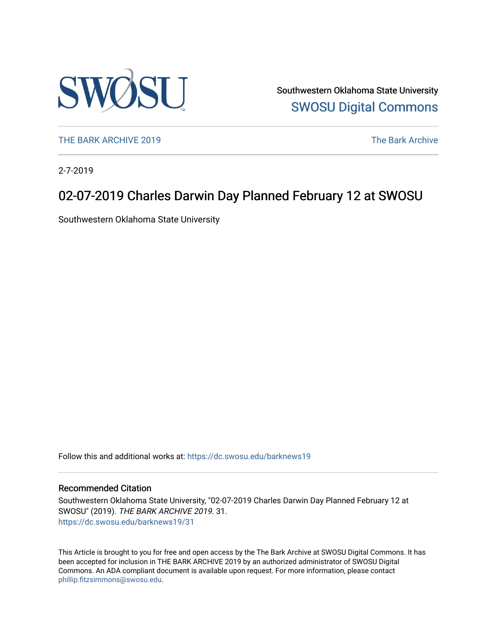

Southwestern Oklahoma State University [SWOSU Digital Commons](https://dc.swosu.edu/) 

[THE BARK ARCHIVE 2019](https://dc.swosu.edu/barknews19) The Bark Archive

2-7-2019

### 02-07-2019 Charles Darwin Day Planned February 12 at SWOSU

Southwestern Oklahoma State University

Follow this and additional works at: [https://dc.swosu.edu/barknews19](https://dc.swosu.edu/barknews19?utm_source=dc.swosu.edu%2Fbarknews19%2F31&utm_medium=PDF&utm_campaign=PDFCoverPages)

#### Recommended Citation

Southwestern Oklahoma State University, "02-07-2019 Charles Darwin Day Planned February 12 at SWOSU" (2019). THE BARK ARCHIVE 2019. 31. [https://dc.swosu.edu/barknews19/31](https://dc.swosu.edu/barknews19/31?utm_source=dc.swosu.edu%2Fbarknews19%2F31&utm_medium=PDF&utm_campaign=PDFCoverPages) 

This Article is brought to you for free and open access by the The Bark Archive at SWOSU Digital Commons. It has been accepted for inclusion in THE BARK ARCHIVE 2019 by an authorized administrator of SWOSU Digital Commons. An ADA compliant document is available upon request. For more information, please contact [phillip.fitzsimmons@swosu.edu](mailto:phillip.fitzsimmons@swosu.edu).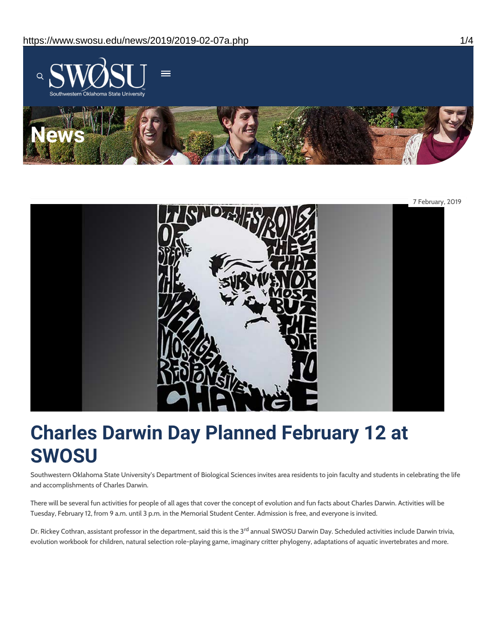



# **Charles Darwin Day Planned February 12 at SWOSU**

Southwestern Oklahoma State University's Department of Biological Sciences invites area residents to join faculty and students in celebrating the life and accomplishments of Charles Darwin.

There will be several fun activities for people of all ages that cover the concept of evolution and fun facts about Charles Darwin. Activities will be Tuesday, February 12, from 9 a.m. until 3 p.m. in the Memorial Student Center. Admission is free, and everyone is invited.

Dr. Rickey Cothran, assistant professor in the department, said this is the 3<sup>rd</sup> annual SWOSU Darwin Day. Scheduled activities include Darwin trivia, evolution workbook for children, natural selection role-playing game, imaginary critter phylogeny, adaptations of aquatic invertebrates and more.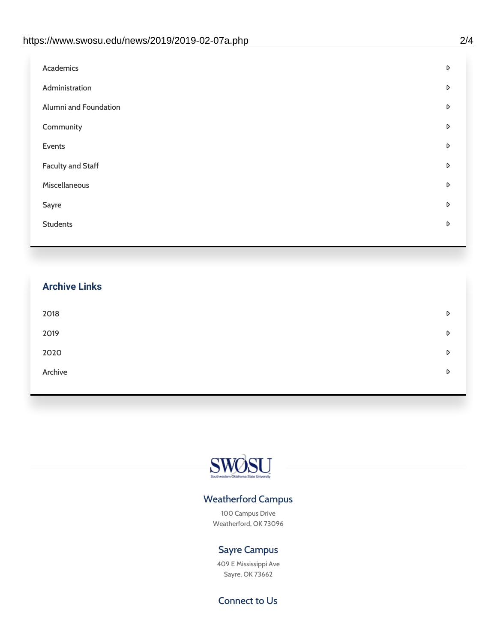| Academics                | D |
|--------------------------|---|
| Administration           | D |
| Alumni and Foundation    | D |
| Community                | D |
| Events                   | D |
| <b>Faculty and Staff</b> | D |
| Miscellaneous            | D |
| Sayre                    | D |
| <b>Students</b>          | D |
|                          |   |

# **Archive Links**  $2018$  $2019$ [2020](https://www.swosu.edu/news/2020/index.php)  $\bullet$ [Archive](https://dc.swosu.edu/bark/) **Archive Archive Archive Archive Archive** Archive Archive Archive Archive Archive Archive Archive Archive



### Weatherford Campus

100 Campus Drive Weatherford, OK 73096

### Sayre Campus

409 E Mississippi Ave Sayre, OK 73662

Connect to Us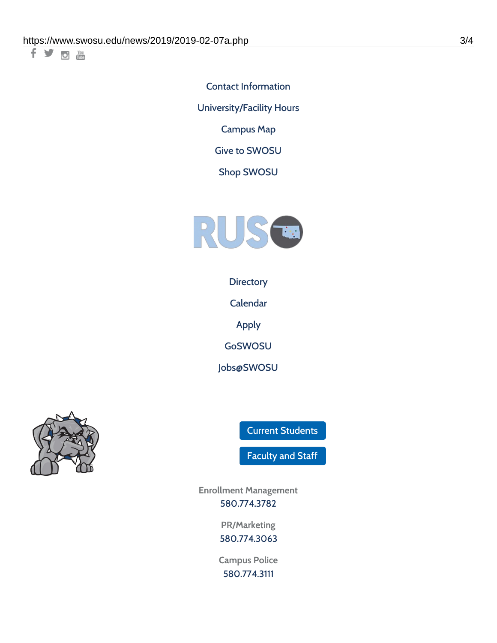千岁回调

Contact [Information](https://www.swosu.edu/about/contact.php) [University/Facility](https://www.swosu.edu/about/operating-hours.php) Hours [Campus](https://map.concept3d.com/?id=768#!ct/10964,10214,10213,10212,10205,10204,10203,10202,10136,10129,10128,0,31226,10130,10201,10641,0) Map

Give to [SWOSU](https://standingfirmly.com/donate)

Shop [SWOSU](https://shopswosu.merchorders.com/)



**[Directory](https://www.swosu.edu/directory/index.php)** 

[Calendar](https://eventpublisher.dudesolutions.com/swosu/)

[Apply](https://www.swosu.edu/admissions/apply-to-swosu.php)

[GoSWOSU](https://qlsso.quicklaunchsso.com/home/1267)

[Jobs@SWOSU](https://swosu.csod.com/ux/ats/careersite/1/home?c=swosu)



Current [Students](https://bulldog.swosu.edu/index.php)

[Faculty](https://bulldog.swosu.edu/faculty-staff/index.php) and Staff

**Enrollment Management** [580.774.3782](tel:5807743782)

> **PR/Marketing** [580.774.3063](tel:5807743063)

**Campus Police** [580.774.3111](tel:5807743111)